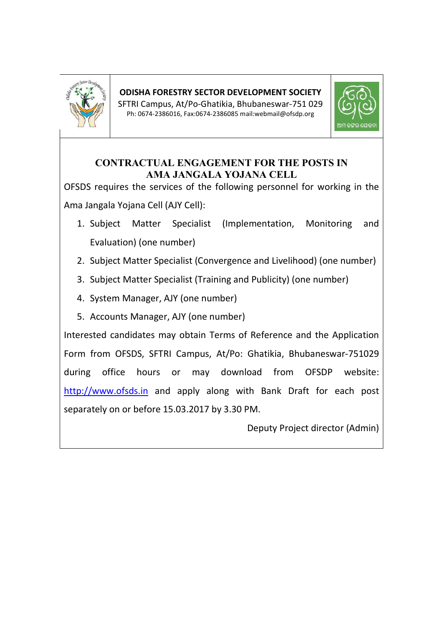

## **ODISHA FORESTRY SECTOR DEVELOPMENT SOCIETY**

SFTRI Campus, At/Po-Ghatikia, Bhubaneswar-751 029 Ph: 0674-2386016, Fax:0674-2386085 mail:webmail@ofsdp.org



### **CONTRACTUAL ENGAGEMENT FOR THE POSTS IN AMA JANGALA YOJANA CELL**

OFSDS requires the services of the following personnel for working in the Ama Jangala Yojana Cell (AJY Cell):

- 1. Subject Matter Specialist (Implementation, Monitoring and Evaluation) (one number)
- 2. Subject Matter Specialist (Convergence and Livelihood) (one number)
- 3. Subject Matter Specialist (Training and Publicity) (one number)
- 4. System Manager, AJY (one number)
- 5. Accounts Manager, AJY (one number)

Interested candidates may obtain Terms of Reference and the Application Form from OFSDS, SFTRI Campus, At/Po: Ghatikia, Bhubaneswar-751029 during office hours or may download from OFSDP website: http://www.ofsds.in and apply along with Bank Draft for each post separately on or before 15.03.2017 by 3.30 PM.

Deputy Project director (Admin)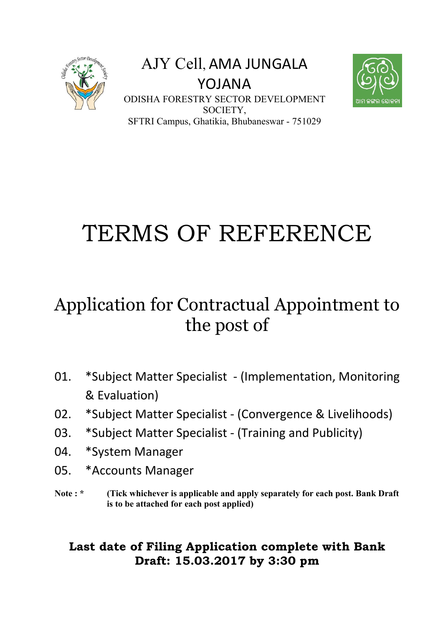

AJY Cell, AMA JUNGALA YOJANA ODISHA FORESTRY SECTOR DEVELOPMENT SOCIETY, SFTRI Campus, Ghatikia, Bhubaneswar - 751029



# TERMS OF REFERENCE

## Application for Contractual Appointment to the post of

- 01. \*Subject Matter Specialist (Implementation, Monitoring & Evaluation)
- 02. \*Subject Matter Specialist (Convergence & Livelihoods)
- 03. \*Subject Matter Specialist (Training and Publicity)
- 04. \*System Manager
- 05. \*Accounts Manager
- Note : \* (Tick whichever is applicable and apply separately for each post. Bank Draft **is to be attached for each post applied)**

## **Last date of Filing Application complete with Bank Draft: 15.03.2017 by 3:30 pm**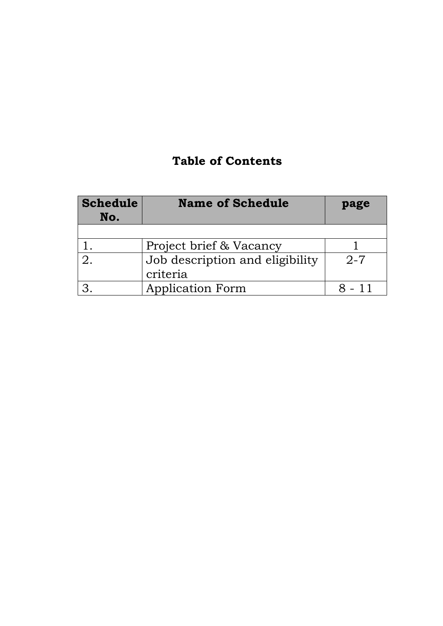## **Table of Contents**

| <b>Schedule</b><br>No. | <b>Name of Schedule</b>         | page    |
|------------------------|---------------------------------|---------|
|                        |                                 |         |
|                        | Project brief & Vacancy         |         |
|                        | Job description and eligibility | $2 - 7$ |
|                        | criteria                        |         |
|                        | <b>Application Form</b>         | - 11    |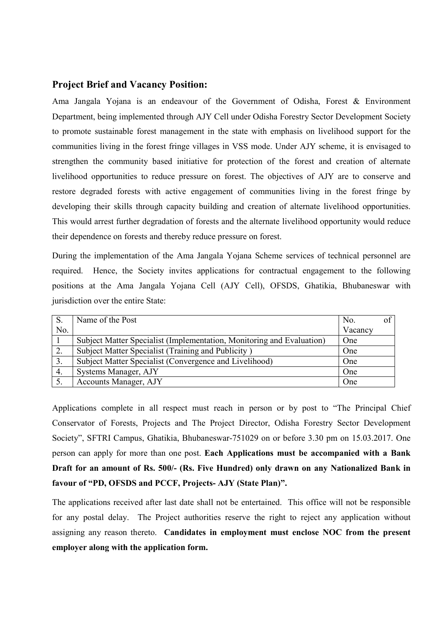#### **Project Brief and Vacancy Position:**

Ama Jangala Yojana is an endeavour of the Government of Odisha, Forest & Environment Department, being implemented through AJY Cell under Odisha Forestry Sector Development Society to promote sustainable forest management in the state with emphasis on livelihood support for the communities living in the forest fringe villages in VSS mode. Under AJY scheme, it is envisaged to strengthen the community based initiative for protection of the forest and creation of alternate livelihood opportunities to reduce pressure on forest. The objectives of AJY are to conserve and restore degraded forests with active engagement of communities living in the forest fringe by developing their skills through capacity building and creation of alternate livelihood opportunities. This would arrest further degradation of forests and the alternate livelihood opportunity would reduce their dependence on forests and thereby reduce pressure on forest.

During the implementation of the Ama Jangala Yojana Scheme services of technical personnel are required. Hence, the Society invites applications for contractual engagement to the following positions at the Ama Jangala Yojana Cell (AJY Cell), OFSDS, Ghatikia, Bhubaneswar with jurisdiction over the entire State:

|                  | Name of the Post                                                      | No.     | of |
|------------------|-----------------------------------------------------------------------|---------|----|
| No.              |                                                                       | Vacancy |    |
|                  | Subject Matter Specialist (Implementation, Monitoring and Evaluation) | One     |    |
| 2.               | Subject Matter Specialist (Training and Publicity)                    | One     |    |
| $\overline{3}$ . | Subject Matter Specialist (Convergence and Livelihood)                | One     |    |
| 4.               | Systems Manager, AJY                                                  | One     |    |
|                  | Accounts Manager, AJY                                                 | One     |    |

Applications complete in all respect must reach in person or by post to "The Principal Chief Conservator of Forests, Projects and The Project Director, Odisha Forestry Sector Development Society", SFTRI Campus, Ghatikia, Bhubaneswar-751029 on or before 3.30 pm on 15.03.2017. One person can apply for more than one post. **Each Applications must be accompanied with a Bank Draft for an amount of Rs. 500/- (Rs. Five Hundred) only drawn on any Nationalized Bank in favour of "PD, OFSDS and PCCF, Projects- AJY (State Plan)".** 

The applications received after last date shall not be entertained. This office will not be responsible for any postal delay. The Project authorities reserve the right to reject any application without assigning any reason thereto. **Candidates in employment must enclose NOC from the present employer along with the application form.**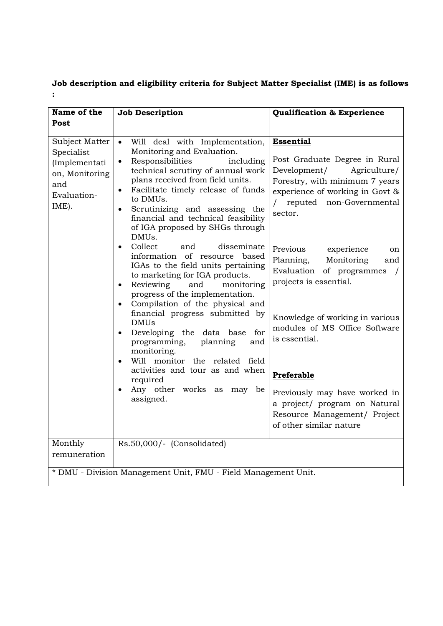**Job description and eligibility criteria for Subject Matter Specialist (IME) is as follows :** 

| Name of the                                                                                    | <b>Job Description</b>                                                                                                                                                                                                                                                                                                                                                  | <b>Qualification &amp; Experience</b>                                                                                                                                                         |  |  |
|------------------------------------------------------------------------------------------------|-------------------------------------------------------------------------------------------------------------------------------------------------------------------------------------------------------------------------------------------------------------------------------------------------------------------------------------------------------------------------|-----------------------------------------------------------------------------------------------------------------------------------------------------------------------------------------------|--|--|
| Post                                                                                           |                                                                                                                                                                                                                                                                                                                                                                         |                                                                                                                                                                                               |  |  |
| Subject Matter<br>Specialist<br>(Implementati<br>on, Monitoring<br>and<br>Evaluation-<br>IME). | Will deal with Implementation,<br>Monitoring and Evaluation.<br>Responsibilities<br>including<br>technical scrutiny of annual work<br>plans received from field units.<br>Facilitate timely release of funds<br>$\bullet$<br>to DMUs.<br>Scrutinizing and assessing the<br>$\bullet$<br>financial and technical feasibility<br>of IGA proposed by SHGs through<br>DMUs. | <b>Essential</b><br>Post Graduate Degree in Rural<br>Development/<br>Agriculture/<br>Forestry, with minimum 7 years<br>experience of working in Govt &<br>reputed non-Governmental<br>sector. |  |  |
|                                                                                                | Collect<br>disseminate<br>and<br>$\bullet$<br>information of resource based<br>IGAs to the field units pertaining<br>to marketing for IGA products.<br>Reviewing<br>and<br>monitoring<br>$\bullet$<br>progress of the implementation.<br>Compilation of the physical and<br>financial progress submitted by                                                             | Previous<br>experience<br>on<br>Monitoring<br>Planning,<br>and<br>Evaluation of programmes<br>$\sqrt{ }$<br>projects is essential.<br>Knowledge of working in various                         |  |  |
|                                                                                                | <b>DMUs</b><br>Developing the data base for<br>$\bullet$<br>programming,<br>planning<br>and<br>monitoring.<br>Will monitor the related field<br>$\bullet$<br>activities and tour as and when                                                                                                                                                                            | modules of MS Office Software<br>is essential.<br>Preferable                                                                                                                                  |  |  |
|                                                                                                | required<br>Any other works<br>may be<br>as<br>assigned.                                                                                                                                                                                                                                                                                                                | Previously may have worked in<br>a project/ program on Natural<br>Resource Management/ Project<br>of other similar nature                                                                     |  |  |
| Monthly<br>remuneration                                                                        | Rs.50,000/- (Consolidated)                                                                                                                                                                                                                                                                                                                                              |                                                                                                                                                                                               |  |  |
|                                                                                                | * DMU - Division Management Unit, FMU - Field Management Unit.                                                                                                                                                                                                                                                                                                          |                                                                                                                                                                                               |  |  |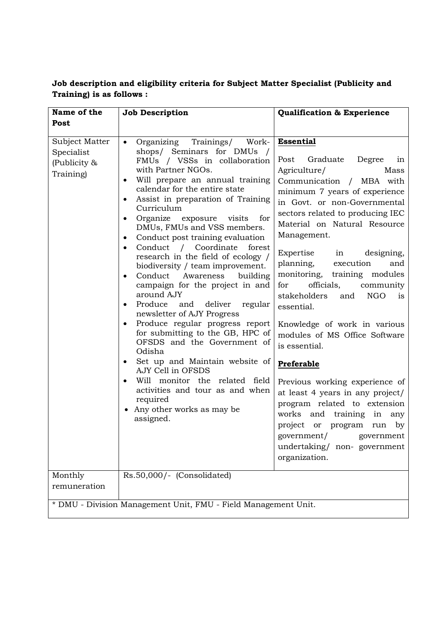| Name of the                                               | <b>Job Description</b>                                                                                                                                                                                                                                                                                                                                                                                                                                                                                                                                                                                                                                                                                                                                                                                                                                                                                                                                                                                                         | <b>Qualification &amp; Experience</b>                                                                                                                                                                                                                                                                                                                                                                                                                                                                                                                                                                                                                                               |
|-----------------------------------------------------------|--------------------------------------------------------------------------------------------------------------------------------------------------------------------------------------------------------------------------------------------------------------------------------------------------------------------------------------------------------------------------------------------------------------------------------------------------------------------------------------------------------------------------------------------------------------------------------------------------------------------------------------------------------------------------------------------------------------------------------------------------------------------------------------------------------------------------------------------------------------------------------------------------------------------------------------------------------------------------------------------------------------------------------|-------------------------------------------------------------------------------------------------------------------------------------------------------------------------------------------------------------------------------------------------------------------------------------------------------------------------------------------------------------------------------------------------------------------------------------------------------------------------------------------------------------------------------------------------------------------------------------------------------------------------------------------------------------------------------------|
| Post                                                      |                                                                                                                                                                                                                                                                                                                                                                                                                                                                                                                                                                                                                                                                                                                                                                                                                                                                                                                                                                                                                                |                                                                                                                                                                                                                                                                                                                                                                                                                                                                                                                                                                                                                                                                                     |
| Subject Matter<br>Specialist<br>(Publicity &<br>Training) | Organizing Trainings/<br>Work-<br>$\bullet$<br>shops/ Seminars for DMUs /<br>FMUs / VSSs in collaboration<br>with Partner NGOs.<br>Will prepare an annual training<br>$\bullet$<br>calendar for the entire state<br>Assist in preparation of Training<br>٠<br>Curriculum<br>Organize exposure visits<br>for<br>$\bullet$<br>DMUs, FMUs and VSS members.<br>Conduct post training evaluation<br>$\bullet$<br>Conduct / Coordinate<br>forest<br>$\bullet$<br>research in the field of ecology /<br>biodiversity / team improvement.<br>Conduct<br>Awareness<br>building<br>$\bullet$<br>campaign for the project in and<br>around AJY<br>Produce and deliver regular<br>$\bullet$<br>newsletter of AJY Progress<br>Produce regular progress report<br>for submitting to the GB, HPC of<br>OFSDS and the Government of<br>Odisha<br>Set up and Maintain website of<br>$\bullet$<br>AJY Cell in OFSDS<br>Will monitor the related field<br>activities and tour as and when<br>required<br>• Any other works as may be<br>assigned. | <b>Essential</b><br>Post<br>Graduate<br>Degree<br>in<br>Agriculture/<br>Mass<br>Communication / MBA with<br>minimum 7 years of experience<br>in Govt. or non-Governmental<br>sectors related to producing IEC<br>Material on Natural Resource<br>Management.<br>Expertise in designing,<br>planning, execution<br>and<br>monitoring, training modules<br>officials,<br>for<br>community<br>stakeholders and<br><b>NGO</b><br>is<br>essential.<br>Knowledge of work in various<br>modules of MS Office Software<br>is essential.<br>Preferable<br>Previous working experience of<br>at least 4 years in any project/<br>program related to extension<br>works and training in<br>any |
|                                                           |                                                                                                                                                                                                                                                                                                                                                                                                                                                                                                                                                                                                                                                                                                                                                                                                                                                                                                                                                                                                                                | project or program run by<br>government/<br>government<br>undertaking/ non-government<br>organization.                                                                                                                                                                                                                                                                                                                                                                                                                                                                                                                                                                              |
| Monthly<br>remuneration                                   | Rs.50,000/- (Consolidated)                                                                                                                                                                                                                                                                                                                                                                                                                                                                                                                                                                                                                                                                                                                                                                                                                                                                                                                                                                                                     |                                                                                                                                                                                                                                                                                                                                                                                                                                                                                                                                                                                                                                                                                     |
|                                                           | * DMU - Division Management Unit, FMU - Field Management Unit.                                                                                                                                                                                                                                                                                                                                                                                                                                                                                                                                                                                                                                                                                                                                                                                                                                                                                                                                                                 |                                                                                                                                                                                                                                                                                                                                                                                                                                                                                                                                                                                                                                                                                     |

#### **Job description and eligibility criteria for Subject Matter Specialist (Publicity and Training) is as follows :**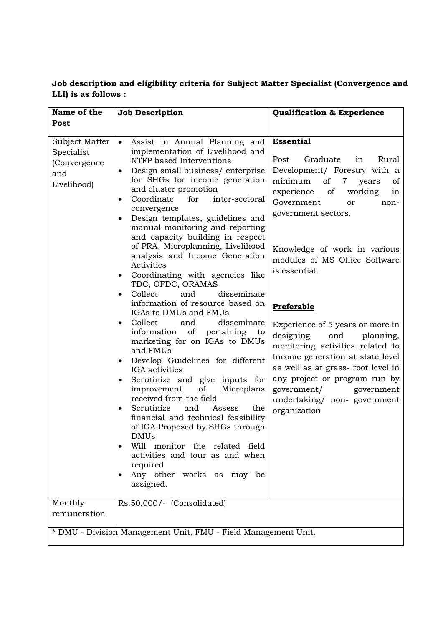#### **Job description and eligibility criteria for Subject Matter Specialist (Convergence and LLI) is as follows :**

| Name of the                                                                                   | <b>Job Description</b>                                                                                                                                                                                                                                                                                                                                                                                                                                                                                                                                                                                                                                                                                                                                                                                                                                                                                                                                                                                                                                                                                                                                                                                                              | <b>Qualification &amp; Experience</b>                                                                                                                                                                                                                                                                                                                                                                                                                                                                                                                                                                                                    |  |  |  |
|-----------------------------------------------------------------------------------------------|-------------------------------------------------------------------------------------------------------------------------------------------------------------------------------------------------------------------------------------------------------------------------------------------------------------------------------------------------------------------------------------------------------------------------------------------------------------------------------------------------------------------------------------------------------------------------------------------------------------------------------------------------------------------------------------------------------------------------------------------------------------------------------------------------------------------------------------------------------------------------------------------------------------------------------------------------------------------------------------------------------------------------------------------------------------------------------------------------------------------------------------------------------------------------------------------------------------------------------------|------------------------------------------------------------------------------------------------------------------------------------------------------------------------------------------------------------------------------------------------------------------------------------------------------------------------------------------------------------------------------------------------------------------------------------------------------------------------------------------------------------------------------------------------------------------------------------------------------------------------------------------|--|--|--|
| Post                                                                                          |                                                                                                                                                                                                                                                                                                                                                                                                                                                                                                                                                                                                                                                                                                                                                                                                                                                                                                                                                                                                                                                                                                                                                                                                                                     |                                                                                                                                                                                                                                                                                                                                                                                                                                                                                                                                                                                                                                          |  |  |  |
| Subject Matter<br>Specialist<br>(Convergence<br>and<br>Livelihood)<br>Monthly<br>remuneration | Assist in Annual Planning and<br>$\bullet$<br>implementation of Livelihood and<br>NTFP based Interventions<br>Design small business/enterprise<br>٠<br>for SHGs for income generation<br>and cluster promotion<br>Coordinate<br>for<br>inter-sectoral<br>$\bullet$<br>convergence<br>Design templates, guidelines and<br>manual monitoring and reporting<br>and capacity building in respect<br>of PRA, Microplanning, Livelihood<br>analysis and Income Generation<br>Activities<br>Coordinating with agencies like<br>٠<br>TDC, OFDC, ORAMAS<br>Collect<br>and<br>disseminate<br>information of resource based on<br>IGAs to DMUs and FMUs<br>Collect<br>disseminate<br>and<br>٠<br>of<br>pertaining<br>information<br>to<br>marketing for on IGAs to DMUs<br>and FMUs<br>Develop Guidelines for different<br>IGA activities<br>Scrutinize and give inputs for<br>of<br>improvement<br>Microplans<br>received from the field<br>Scrutinize<br>and<br>the<br>Assess<br>$\bullet$<br>financial and technical feasibility<br>of IGA Proposed by SHGs through<br><b>DMUs</b><br>Will monitor the related field<br>activities and tour as and when<br>required<br>Any other works as may be<br>assigned.<br>Rs.50,000/- (Consolidated) | <b>Essential</b><br>Post<br>Graduate<br>Rural<br>in<br>Development/ Forestry with a<br>minimum<br>of<br>7 <sup>7</sup><br><sub>of</sub><br>years<br>of<br>working<br>experience<br>in<br>Government<br>or<br>non-<br>government sectors.<br>Knowledge of work in various<br>modules of MS Office Software<br>is essential.<br>Preferable<br>Experience of 5 years or more in<br>designing<br>and<br>planning,<br>monitoring activities related to<br>Income generation at state level<br>as well as at grass- root level in<br>any project or program run by<br>government/<br>government<br>undertaking/ non-government<br>organization |  |  |  |
|                                                                                               | * DMU - Division Management Unit, FMU - Field Management Unit.                                                                                                                                                                                                                                                                                                                                                                                                                                                                                                                                                                                                                                                                                                                                                                                                                                                                                                                                                                                                                                                                                                                                                                      |                                                                                                                                                                                                                                                                                                                                                                                                                                                                                                                                                                                                                                          |  |  |  |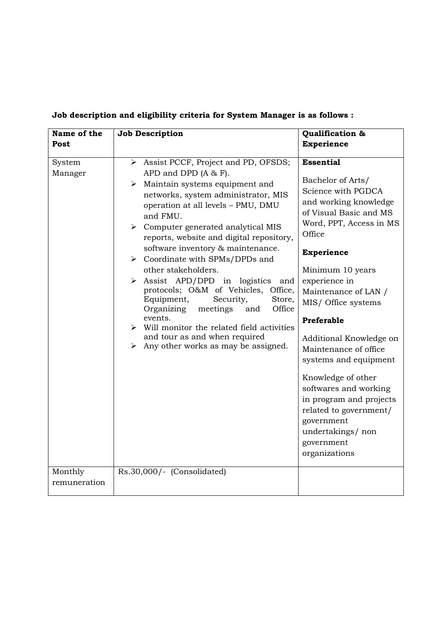| Name of the             | Job Description                                                                                                                                                                                                                                                                                                                                                                                                                                                                                                                                                                                                                                                                                                                                                           | Qualification &                                                                                                                                                                                                                                                                                                                                                                                                                                                                                                              |
|-------------------------|---------------------------------------------------------------------------------------------------------------------------------------------------------------------------------------------------------------------------------------------------------------------------------------------------------------------------------------------------------------------------------------------------------------------------------------------------------------------------------------------------------------------------------------------------------------------------------------------------------------------------------------------------------------------------------------------------------------------------------------------------------------------------|------------------------------------------------------------------------------------------------------------------------------------------------------------------------------------------------------------------------------------------------------------------------------------------------------------------------------------------------------------------------------------------------------------------------------------------------------------------------------------------------------------------------------|
| Post                    |                                                                                                                                                                                                                                                                                                                                                                                                                                                                                                                                                                                                                                                                                                                                                                           | <b>Experience</b>                                                                                                                                                                                                                                                                                                                                                                                                                                                                                                            |
| System<br>Manager       | > Assist PCCF, Project and PD, OFSDS;<br>APD and DPD $(A & F)$ .<br>$\triangleright$ Maintain systems equipment and<br>networks, system administrator, MIS<br>operation at all levels - PMU, DMU<br>and FMU.<br>$\triangleright$ Computer generated analytical MIS<br>reports, website and digital repository,<br>software inventory & maintenance.<br>$\triangleright$ Coordinate with SPMs/DPDs and<br>other stakeholders.<br>$\triangleright$ Assist APD/DPD in logistics and<br>protocols; O&M of Vehicles, Office,<br>Security,<br>Store,<br>Equipment,<br>Organizing<br>meetings<br>Office<br>and<br>events.<br>$\triangleright$ Will monitor the related field activities<br>and tour as and when required<br>$\triangleright$ Any other works as may be assigned. | <b>Essential</b><br>Bachelor of Arts/<br>Science with PGDCA<br>and working knowledge<br>of Visual Basic and MS<br>Word, PPT, Access in MS<br>Office<br><b>Experience</b><br>Minimum 10 years<br>experience in<br>Maintenance of LAN /<br>MIS/ Office systems<br>Preferable<br>Additional Knowledge on<br>Maintenance of office<br>systems and equipment<br>Knowledge of other<br>softwares and working<br>in program and projects<br>related to government/<br>government<br>undertakings/non<br>government<br>organizations |
| Monthly<br>remuneration | Rs.30,000/- (Consolidated)                                                                                                                                                                                                                                                                                                                                                                                                                                                                                                                                                                                                                                                                                                                                                |                                                                                                                                                                                                                                                                                                                                                                                                                                                                                                                              |

## **Job description and eligibility criteria for System Manager is as follows :**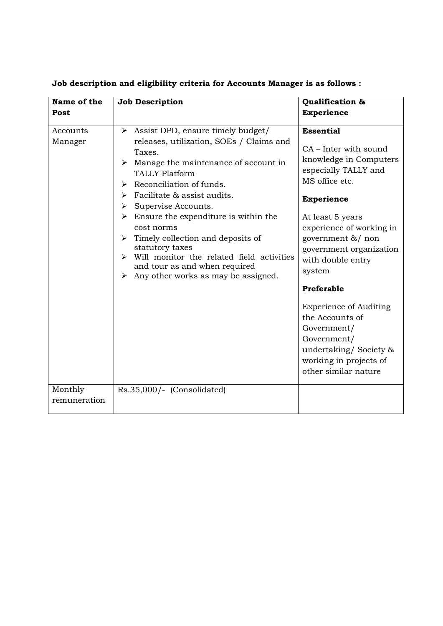| Name of the<br>Post     | <b>Job Description</b>                                                                                                                                                                                                                                                                                                                                                                                                                                                                                                                        | Qualification &<br><b>Experience</b>                                                                                                                                                                                                                                                                                                                                                                                                         |
|-------------------------|-----------------------------------------------------------------------------------------------------------------------------------------------------------------------------------------------------------------------------------------------------------------------------------------------------------------------------------------------------------------------------------------------------------------------------------------------------------------------------------------------------------------------------------------------|----------------------------------------------------------------------------------------------------------------------------------------------------------------------------------------------------------------------------------------------------------------------------------------------------------------------------------------------------------------------------------------------------------------------------------------------|
| Accounts<br>Manager     | Assist DPD, ensure timely budget/<br>➤<br>releases, utilization, SOEs / Claims and<br>Taxes.<br>$\triangleright$ Manage the maintenance of account in<br><b>TALLY Platform</b><br>Reconciliation of funds.<br>⋗<br>Facilitate & assist audits.<br>➤<br>Supervise Accounts.<br>➤<br>Ensure the expenditure is within the<br>➤<br>cost norms<br>$\triangleright$ Timely collection and deposits of<br>statutory taxes<br>Will monitor the related field activities<br>and tour as and when required<br>Any other works as may be assigned.<br>➤ | <b>Essential</b><br>CA - Inter with sound<br>knowledge in Computers<br>especially TALLY and<br>MS office etc.<br><b>Experience</b><br>At least 5 years<br>experience of working in<br>government &/ non<br>government organization<br>with double entry<br>system<br>Preferable<br><b>Experience of Auditing</b><br>the Accounts of<br>Government/<br>Government/<br>undertaking/Society &<br>working in projects of<br>other similar nature |
| Monthly<br>remuneration | Rs.35,000/- (Consolidated)                                                                                                                                                                                                                                                                                                                                                                                                                                                                                                                    |                                                                                                                                                                                                                                                                                                                                                                                                                                              |

**Job description and eligibility criteria for Accounts Manager is as follows :**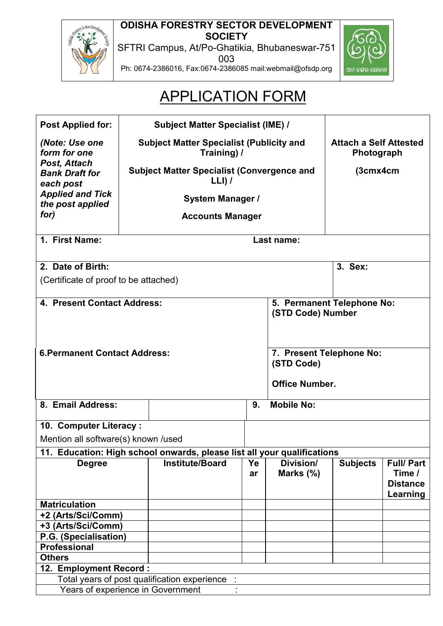**ODISHA FORESTRY SECTOR DEVELOPMENT SOCIETY** 

SFTRI Campus, At/Po-Ghatikia, Bhubaneswar-751 003





## APPLICATION FORM

| <b>Post Applied for:</b>                           |                         | <b>Subject Matter Specialist (IME) /</b>                                |                                             |                                                 |                 |                  |  |
|----------------------------------------------------|-------------------------|-------------------------------------------------------------------------|---------------------------------------------|-------------------------------------------------|-----------------|------------------|--|
| (Note: Use one<br>form for one                     |                         | <b>Subject Matter Specialist (Publicity and</b><br>Training) /          | <b>Attach a Self Attested</b><br>Photograph |                                                 |                 |                  |  |
| Post, Attach<br><b>Bank Draft for</b><br>each post |                         | <b>Subject Matter Specialist (Convergence and</b><br>$LLI)$ /           |                                             |                                                 | (3cmx4cm        |                  |  |
| <b>Applied and Tick</b><br>the post applied        |                         | <b>System Manager /</b>                                                 |                                             |                                                 |                 |                  |  |
| for)                                               |                         | <b>Accounts Manager</b>                                                 |                                             |                                                 |                 |                  |  |
|                                                    |                         |                                                                         |                                             |                                                 |                 |                  |  |
| 1. First Name:                                     |                         |                                                                         |                                             | Last name:                                      |                 |                  |  |
| 2. Date of Birth:                                  |                         |                                                                         |                                             |                                                 | 3. Sex:         |                  |  |
| (Certificate of proof to be attached)              |                         |                                                                         |                                             |                                                 |                 |                  |  |
|                                                    |                         |                                                                         |                                             |                                                 |                 |                  |  |
| 4. Present Contact Address:                        |                         |                                                                         |                                             | 5. Permanent Telephone No:<br>(STD Code) Number |                 |                  |  |
|                                                    |                         |                                                                         |                                             |                                                 |                 |                  |  |
|                                                    |                         |                                                                         |                                             |                                                 |                 |                  |  |
| <b>6. Permanent Contact Address:</b>               |                         |                                                                         |                                             | 7. Present Telephone No:                        |                 |                  |  |
|                                                    |                         |                                                                         |                                             | (STD Code)                                      |                 |                  |  |
|                                                    | <b>Office Number.</b>   |                                                                         |                                             |                                                 |                 |                  |  |
| 8. Email Address:                                  | <b>Mobile No:</b><br>9. |                                                                         |                                             |                                                 |                 |                  |  |
| 10. Computer Literacy:                             |                         |                                                                         |                                             |                                                 |                 |                  |  |
| Mention all software(s) known /used                |                         |                                                                         |                                             |                                                 |                 |                  |  |
|                                                    |                         | 11. Education: High school onwards, please list all your qualifications |                                             |                                                 |                 |                  |  |
| <b>Degree</b>                                      |                         | <b>Institute/Board</b>                                                  | Ye                                          | Division/                                       | <b>Subjects</b> | <b>Full/Part</b> |  |
|                                                    |                         |                                                                         | ar                                          | Marks (%)                                       |                 | Time /           |  |
|                                                    |                         |                                                                         |                                             |                                                 |                 | <b>Distance</b>  |  |
| <b>Matriculation</b>                               |                         |                                                                         |                                             |                                                 |                 | Learning         |  |
| +2 (Arts/Sci/Comm)                                 |                         |                                                                         |                                             |                                                 |                 |                  |  |
| +3 (Arts/Sci/Comm)                                 |                         |                                                                         |                                             |                                                 |                 |                  |  |
| P.G. (Specialisation)                              |                         |                                                                         |                                             |                                                 |                 |                  |  |
| <b>Professional</b>                                |                         |                                                                         |                                             |                                                 |                 |                  |  |
| <b>Others</b>                                      |                         |                                                                         |                                             |                                                 |                 |                  |  |
| 12. Employment Record:                             |                         |                                                                         |                                             |                                                 |                 |                  |  |
|                                                    |                         | Total years of post qualification experience                            |                                             |                                                 |                 |                  |  |
| Years of experience in Government                  |                         |                                                                         |                                             |                                                 |                 |                  |  |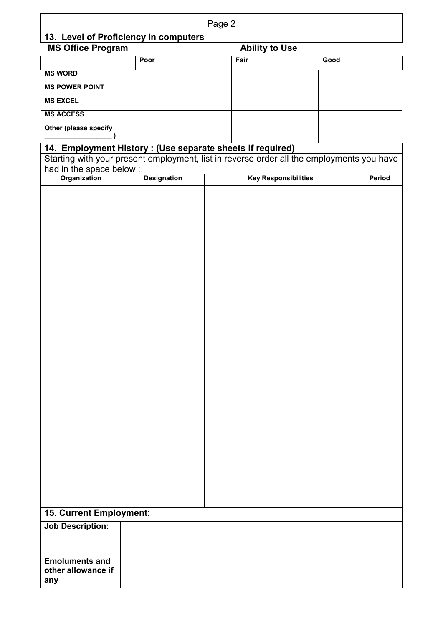| Page 2                   |                                                            |  |                                                                                           |      |        |
|--------------------------|------------------------------------------------------------|--|-------------------------------------------------------------------------------------------|------|--------|
|                          | 13. Level of Proficiency in computers                      |  |                                                                                           |      |        |
| <b>MS Office Program</b> |                                                            |  | <b>Ability to Use</b>                                                                     |      |        |
|                          | Poor                                                       |  | Fair                                                                                      | Good |        |
| <b>MS WORD</b>           |                                                            |  |                                                                                           |      |        |
| <b>MS POWER POINT</b>    |                                                            |  |                                                                                           |      |        |
| <b>MS EXCEL</b>          |                                                            |  |                                                                                           |      |        |
| <b>MS ACCESS</b>         |                                                            |  |                                                                                           |      |        |
| Other (please specify    |                                                            |  |                                                                                           |      |        |
|                          | 14. Employment History : (Use separate sheets if required) |  |                                                                                           |      |        |
|                          |                                                            |  | Starting with your present employment, list in reverse order all the employments you have |      |        |
| had in the space below:  |                                                            |  |                                                                                           |      |        |
| <b>Organization</b>      | <b>Designation</b>                                         |  | <b>Key Responsibilities</b>                                                               |      | Period |
|                          |                                                            |  |                                                                                           |      |        |
|                          |                                                            |  |                                                                                           |      |        |
|                          |                                                            |  |                                                                                           |      |        |
|                          |                                                            |  |                                                                                           |      |        |
|                          |                                                            |  |                                                                                           |      |        |
|                          |                                                            |  |                                                                                           |      |        |
|                          |                                                            |  |                                                                                           |      |        |
|                          |                                                            |  |                                                                                           |      |        |
|                          |                                                            |  |                                                                                           |      |        |
|                          |                                                            |  |                                                                                           |      |        |
|                          |                                                            |  |                                                                                           |      |        |
|                          |                                                            |  |                                                                                           |      |        |
|                          |                                                            |  |                                                                                           |      |        |
|                          |                                                            |  |                                                                                           |      |        |
|                          |                                                            |  |                                                                                           |      |        |
|                          |                                                            |  |                                                                                           |      |        |
|                          |                                                            |  |                                                                                           |      |        |
|                          |                                                            |  |                                                                                           |      |        |
|                          |                                                            |  |                                                                                           |      |        |
|                          |                                                            |  |                                                                                           |      |        |
|                          |                                                            |  |                                                                                           |      |        |
|                          |                                                            |  |                                                                                           |      |        |
|                          |                                                            |  |                                                                                           |      |        |
|                          |                                                            |  |                                                                                           |      |        |
|                          |                                                            |  |                                                                                           |      |        |
|                          |                                                            |  |                                                                                           |      |        |
|                          |                                                            |  |                                                                                           |      |        |
|                          |                                                            |  |                                                                                           |      |        |
| 15. Current Employment:  |                                                            |  |                                                                                           |      |        |
| <b>Job Description:</b>  |                                                            |  |                                                                                           |      |        |
|                          |                                                            |  |                                                                                           |      |        |
|                          |                                                            |  |                                                                                           |      |        |
| <b>Emoluments and</b>    |                                                            |  |                                                                                           |      |        |
| other allowance if       |                                                            |  |                                                                                           |      |        |
| any                      |                                                            |  |                                                                                           |      |        |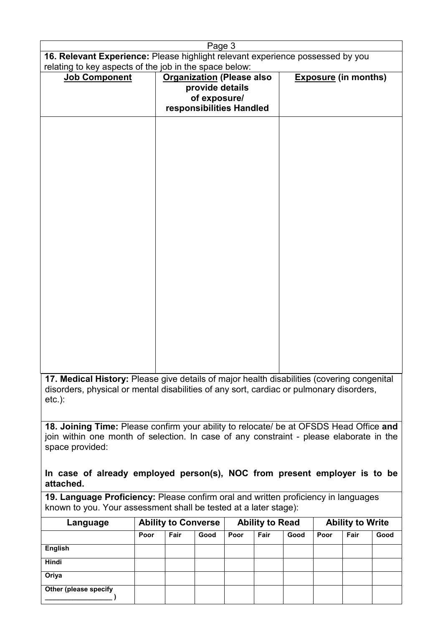|                                                                                                                                                                                                                                                                                                |      |                                  | Page 3                                                      |      |                        |      |      |                             |      |
|------------------------------------------------------------------------------------------------------------------------------------------------------------------------------------------------------------------------------------------------------------------------------------------------|------|----------------------------------|-------------------------------------------------------------|------|------------------------|------|------|-----------------------------|------|
| 16. Relevant Experience: Please highlight relevant experience possessed by you                                                                                                                                                                                                                 |      |                                  |                                                             |      |                        |      |      |                             |      |
| relating to key aspects of the job in the space below:                                                                                                                                                                                                                                         |      |                                  |                                                             |      |                        |      |      |                             |      |
| Job Component                                                                                                                                                                                                                                                                                  |      | <b>Organization (Please also</b> | provide details<br>of exposure/<br>responsibilities Handled |      |                        |      |      | <b>Exposure (in months)</b> |      |
|                                                                                                                                                                                                                                                                                                |      |                                  |                                                             |      |                        |      |      |                             |      |
| 17. Medical History: Please give details of major health disabilities (covering congenital<br>disorders, physical or mental disabilities of any sort, cardiac or pulmonary disorders,<br>$etc.$ ):                                                                                             |      |                                  |                                                             |      |                        |      |      |                             |      |
| 18. Joining Time: Please confirm your ability to relocate/ be at OFSDS Head Office and<br>join within one month of selection. In case of any constraint - please elaborate in the<br>space provided:<br>In case of already employed person(s), NOC from present employer is to be<br>attached. |      |                                  |                                                             |      |                        |      |      |                             |      |
| 19. Language Proficiency: Please confirm oral and written proficiency in languages<br>known to you. Your assessment shall be tested at a later stage):                                                                                                                                         |      |                                  |                                                             |      |                        |      |      |                             |      |
| Language                                                                                                                                                                                                                                                                                       |      | <b>Ability to Converse</b>       |                                                             |      | <b>Ability to Read</b> |      |      | <b>Ability to Write</b>     |      |
|                                                                                                                                                                                                                                                                                                | Poor | Fair                             | Good                                                        | Poor | Fair                   | Good | Poor | Fair                        | Good |
| <b>English</b>                                                                                                                                                                                                                                                                                 |      |                                  |                                                             |      |                        |      |      |                             |      |
| Hindi                                                                                                                                                                                                                                                                                          |      |                                  |                                                             |      |                        |      |      |                             |      |
| Oriya                                                                                                                                                                                                                                                                                          |      |                                  |                                                             |      |                        |      |      |                             |      |

**Other (please specify** 

 $\overline{\phantom{a}}$